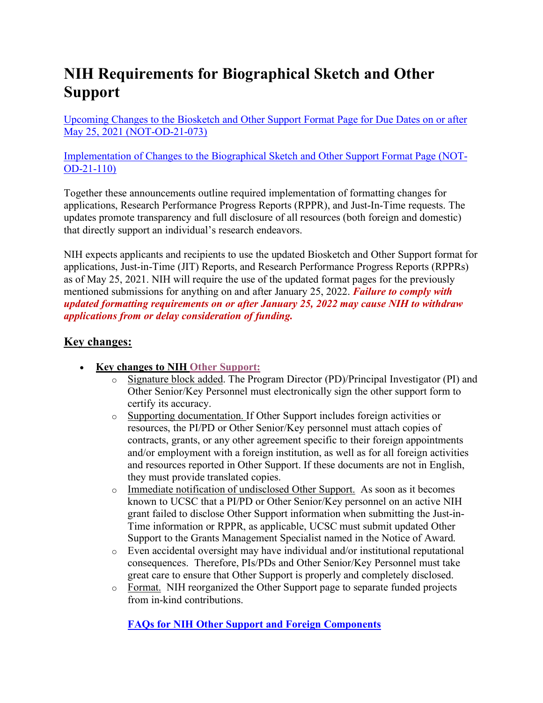## **NIH Requirements for Biographical Sketch and Other Support**

Upcoming Changes to the Biosketch and Other Support Format Page for Due Dates on or after May 25, 2021 (NOT-OD-21-073)

Implementation of Changes to the Biographical Sketch and Other Support Format Page (NOT-OD-21-110)

Together these announcements outline required implementation of formatting changes for applications, Research Performance Progress Reports (RPPR), and Just-In-Time requests. The updates promote transparency and full disclosure of all resources (both foreign and domestic) that directly support an individual's research endeavors.

NIH expects applicants and recipients to use the updated Biosketch and Other Support format for applications, Just-in-Time (JIT) Reports, and Research Performance Progress Reports (RPPRs) as of May 25, 2021. NIH will require the use of the updated format pages for the previously mentioned submissions for anything on and after January 25, 2022. *Failure to comply with updated formatting requirements on or after January 25, 2022 may cause NIH to withdraw applications from or delay consideration of funding.*

## **Key changes:**

- **Key changes to NIH Other Support:**
	- o Signature block added. The Program Director (PD)/Principal Investigator (PI) and Other Senior/Key Personnel must electronically sign the other support form to certify its accuracy.
	- o Supporting documentation. If Other Support includes foreign activities or resources, the PI/PD or Other Senior/Key personnel must attach copies of contracts, grants, or any other agreement specific to their foreign appointments and/or employment with a foreign institution, as well as for all foreign activities and resources reported in Other Support. If these documents are not in English, they must provide translated copies.
	- o Immediate notification of undisclosed Other Support. As soon as it becomes known to UCSC that a PI/PD or Other Senior/Key personnel on an active NIH grant failed to disclose Other Support information when submitting the Just-in-Time information or RPPR, as applicable, UCSC must submit updated Other Support to the Grants Management Specialist named in the Notice of Award.
	- o Even accidental oversight may have individual and/or institutional reputational consequences. Therefore, PIs/PDs and Other Senior/Key Personnel must take great care to ensure that Other Support is properly and completely disclosed.
	- o Format. NIH reorganized the Other Support page to separate funded projects from in-kind contributions.

**FAQs for NIH Other Support and Foreign Components**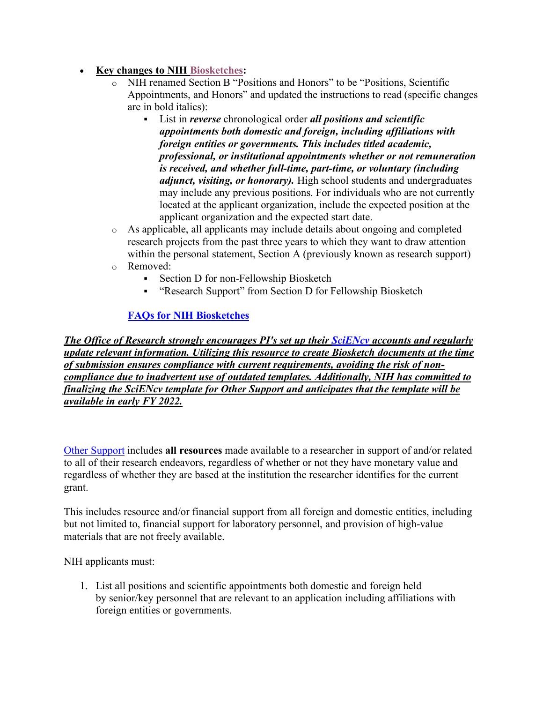## • **Key changes to NIH Biosketches:**

- NIH renamed Section B "Positions and Honors" to be "Positions, Scientific Appointments, and Honors" and updated the instructions to read (specific changes are in bold italics):
	- § List in *reverse* chronological order *all positions and scientific appointments both domestic and foreign, including affiliations with foreign entities or governments. This includes titled academic, professional, or institutional appointments whether or not remuneration is received, and whether full-time, part-time, or voluntary (including adjunct, visiting, or honorary).* High school students and undergraduates may include any previous positions. For individuals who are not currently located at the applicant organization, include the expected position at the applicant organization and the expected start date.
- o As applicable, all applicants may include details about ongoing and completed research projects from the past three years to which they want to draw attention within the personal statement, Section A (previously known as research support)
- o Removed:
	- Section D for non-Fellowship Biosketch
	- § "Research Support" from Section D for Fellowship Biosketch

## **FAQs for NIH Biosketches**

*The Office of Research strongly encourages PI's set up their SciENcv accounts and regularly update relevant information. Utilizing this resource to create Biosketch documents at the time of submission ensures compliance with current requirements, avoiding the risk of noncompliance due to inadvertent use of outdated templates. Additionally, NIH has committed to finalizing the SciENcv template for Other Support and anticipates that the template will be available in early FY 2022.*

Other Support includes **all resources** made available to a researcher in support of and/or related to all of their research endeavors, regardless of whether or not they have monetary value and regardless of whether they are based at the institution the researcher identifies for the current grant.

This includes resource and/or financial support from all foreign and domestic entities, including but not limited to, financial support for laboratory personnel, and provision of high-value materials that are not freely available.

NIH applicants must:

1. List all positions and scientific appointments both domestic and foreign held by senior/key personnel that are relevant to an application including affiliations with foreign entities or governments.